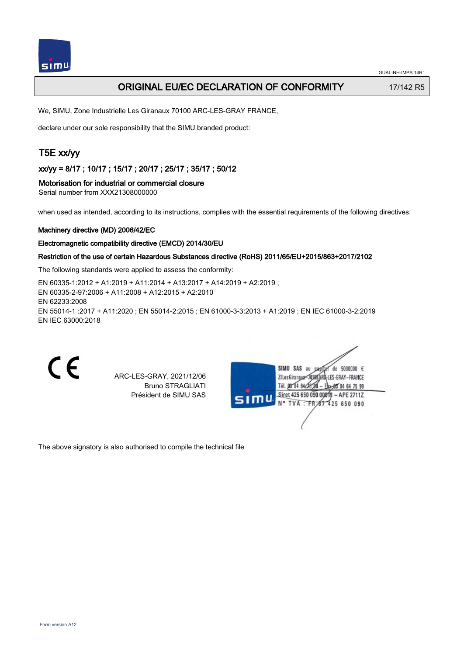# ORIGINAL EU/EC DECLARATION OF CONFORMITY 17/142 R5

We, SIMU, Zone Industrielle Les Giranaux 70100 ARC-LES-GRAY FRANCE,

declare under our sole responsibility that the SIMU branded product:

# T5E xx/yy

xx/yy = 8/17 ; 10/17 ; 15/17 ; 20/17 ; 25/17 ; 35/17 ; 50/12

# Motorisation for industrial or commercial closure

Serial number from XXX21308000000

when used as intended, according to its instructions, complies with the essential requirements of the following directives:

### Machinery directive (MD) 2006/42/EC

#### Electromagnetic compatibility directive (EMCD) 2014/30/EU

### Restriction of the use of certain Hazardous Substances directive (RoHS) 2011/65/EU+2015/863+2017/2102

The following standards were applied to assess the conformity:

EN 60335‑1:2012 + A1:2019 + A11:2014 + A13:2017 + A14:2019 + A2:2019 ; EN 60335‑2‑97:2006 + A11:2008 + A12:2015 + A2:2010 EN 62233:2008 EN 55014‑1 :2017 + A11:2020 ; EN 55014‑2:2015 ; EN 61000‑3‑3:2013 + A1:2019 ; EN IEC 61000‑3‑2:2019 EN IEC 63000:2018

 $\epsilon$ 

ARC-LES-GRAY, 2021/12/06 Bruno STRAGLIATI Président de SIMU SAS

| S11T | SIMU SAS<br>de 5000000 $\epsilon$<br>âu<br>Ca |
|------|-----------------------------------------------|
|      | ZI Les Giranaux-7<br>1-LES-GRAY-FRANCE        |
|      | Tél. 08 84 64 28<br>*郎84 64 75 99             |
|      | Siret 425 650 090 00811 - APE 2711Z           |
|      | N° TVA : FR 67 425 650 090                    |
|      |                                               |
|      |                                               |
|      |                                               |

The above signatory is also authorised to compile the technical file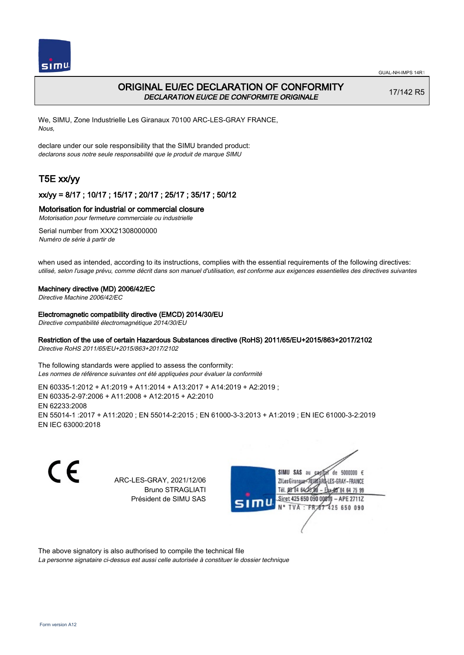

# ORIGINAL EU/EC DECLARATION OF CONFORMITY DECLARATION EU/CE DE CONFORMITE ORIGINALE

17/142 R5

We, SIMU, Zone Industrielle Les Giranaux 70100 ARC-LES-GRAY FRANCE, Nous,

declare under our sole responsibility that the SIMU branded product: declarons sous notre seule responsabilité que le produit de marque SIMU

# T5E xx/yy

## xx/yy = 8/17 ; 10/17 ; 15/17 ; 20/17 ; 25/17 ; 35/17 ; 50/12

## Motorisation for industrial or commercial closure

Motorisation pour fermeture commerciale ou industrielle

Serial number from XXX21308000000 Numéro de série à partir de

when used as intended, according to its instructions, complies with the essential requirements of the following directives: utilisé, selon l'usage prévu, comme décrit dans son manuel d'utilisation, est conforme aux exigences essentielles des directives suivantes

### Machinery directive (MD) 2006/42/EC

Directive Machine 2006/42/EC

Electromagnetic compatibility directive (EMCD) 2014/30/EU

Directive compatibilité électromagnétique 2014/30/EU

### Restriction of the use of certain Hazardous Substances directive (RoHS) 2011/65/EU+2015/863+2017/2102

Directive RoHS 2011/65/EU+2015/863+2017/2102

The following standards were applied to assess the conformity: Les normes de référence suivantes ont été appliquées pour évaluer la conformité

EN 60335‑1:2012 + A1:2019 + A11:2014 + A13:2017 + A14:2019 + A2:2019 ; EN 60335‑2‑97:2006 + A11:2008 + A12:2015 + A2:2010 EN 62233:2008 EN 55014‑1 :2017 + A11:2020 ; EN 55014‑2:2015 ; EN 61000‑3‑3:2013 + A1:2019 ; EN IEC 61000‑3‑2:2019 EN IEC 63000:2018

C E SIMU SAS au de 5000000  $\epsilon$ ARC-LES-GRAY, 2021/12/06 71 les Giranaux-701 LES-GRAY-FRANCE Bruno STRAGLIATI TH DR R4 642 64 75 99 Président de SIMU SAS Siret 425 650 090 0081  $-$  APE 2711Z **TVA FR** 425 650 090

The above signatory is also authorised to compile the technical file

La personne signataire ci-dessus est aussi celle autorisée à constituer le dossier technique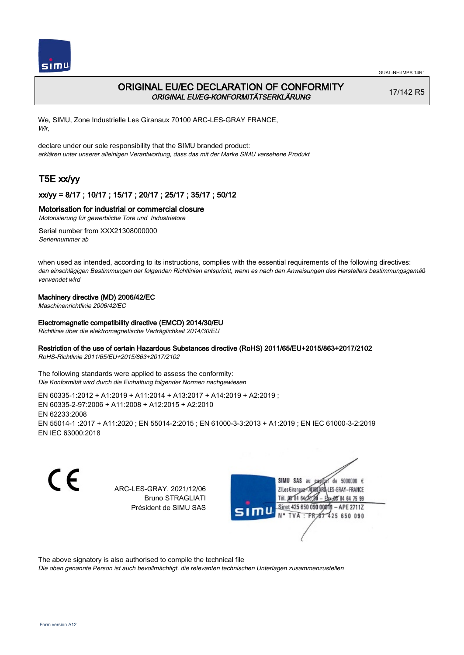

# ORIGINAL EU/EC DECLARATION OF CONFORMITY ORIGINAL EU/EG-KONFORMITÄTSERKLÄRUNG

17/142 R5

We, SIMU, Zone Industrielle Les Giranaux 70100 ARC-LES-GRAY FRANCE, Wir,

declare under our sole responsibility that the SIMU branded product: erklären unter unserer alleinigen Verantwortung, dass das mit der Marke SIMU versehene Produkt

# T5E xx/yy

## xx/yy = 8/17 ; 10/17 ; 15/17 ; 20/17 ; 25/17 ; 35/17 ; 50/12

## Motorisation for industrial or commercial closure

Motorisierung für gewerbliche Tore und Industrietore

Serial number from XXX21308000000 Seriennummer ab

when used as intended, according to its instructions, complies with the essential requirements of the following directives: den einschlägigen Bestimmungen der folgenden Richtlinien entspricht, wenn es nach den Anweisungen des Herstellers bestimmungsgemäß verwendet wird

## Machinery directive (MD) 2006/42/EC

Maschinenrichtlinie 2006/42/EC

### Electromagnetic compatibility directive (EMCD) 2014/30/EU

Richtlinie über die elektromagnetische Verträglichkeit 2014/30/EU

### Restriction of the use of certain Hazardous Substances directive (RoHS) 2011/65/EU+2015/863+2017/2102

RoHS-Richtlinie 2011/65/EU+2015/863+2017/2102

The following standards were applied to assess the conformity: Die Konformität wird durch die Einhaltung folgender Normen nachgewiesen

EN 60335‑1:2012 + A1:2019 + A11:2014 + A13:2017 + A14:2019 + A2:2019 ; EN 60335‑2‑97:2006 + A11:2008 + A12:2015 + A2:2010 EN 62233:2008 EN 55014‑1 :2017 + A11:2020 ; EN 55014‑2:2015 ; EN 61000‑3‑3:2013 + A1:2019 ; EN IEC 61000‑3‑2:2019 EN IEC 63000:2018

CE

ARC-LES-GRAY, 2021/12/06 Bruno STRAGLIATI Président de SIMU SAS



The above signatory is also authorised to compile the technical file

Die oben genannte Person ist auch bevollmächtigt, die relevanten technischen Unterlagen zusammenzustellen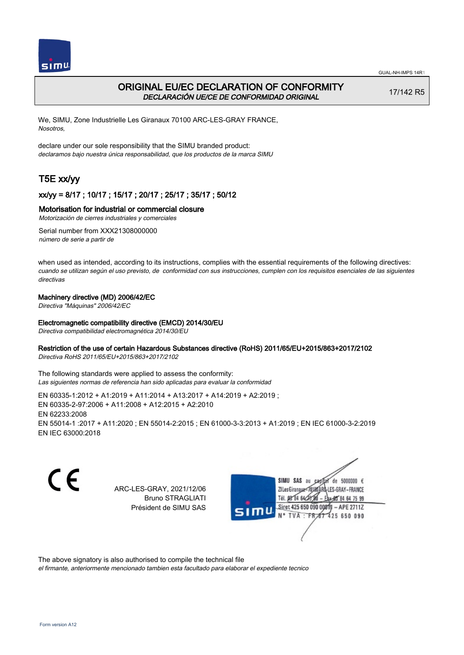



# ORIGINAL EU/EC DECLARATION OF CONFORMITY DECLARACIÓN UE/CE DE CONFORMIDAD ORIGINAL

17/142 R5

We, SIMU, Zone Industrielle Les Giranaux 70100 ARC-LES-GRAY FRANCE, Nosotros,

declare under our sole responsibility that the SIMU branded product: declaramos bajo nuestra única responsabilidad, que los productos de la marca SIMU

# T5E xx/yy

## xx/yy = 8/17 ; 10/17 ; 15/17 ; 20/17 ; 25/17 ; 35/17 ; 50/12

## Motorisation for industrial or commercial closure

Motorización de cierres industriales y comerciales

Serial number from XXX21308000000 número de serie a partir de

when used as intended, according to its instructions, complies with the essential requirements of the following directives: cuando se utilizan según el uso previsto, de conformidad con sus instrucciones, cumplen con los requisitos esenciales de las siguientes directivas

### Machinery directive (MD) 2006/42/EC

Directiva "Máquinas" 2006/42/EC

### Electromagnetic compatibility directive (EMCD) 2014/30/EU

Directiva compatibilidad electromagnética 2014/30/EU

### Restriction of the use of certain Hazardous Substances directive (RoHS) 2011/65/EU+2015/863+2017/2102

Directiva RoHS 2011/65/EU+2015/863+2017/2102

The following standards were applied to assess the conformity: Las siguientes normas de referencia han sido aplicadas para evaluar la conformidad

EN 60335‑1:2012 + A1:2019 + A11:2014 + A13:2017 + A14:2019 + A2:2019 ; EN 60335‑2‑97:2006 + A11:2008 + A12:2015 + A2:2010 EN 62233:2008 EN 55014‑1 :2017 + A11:2020 ; EN 55014‑2:2015 ; EN 61000‑3‑3:2013 + A1:2019 ; EN IEC 61000‑3‑2:2019 EN IEC 63000:2018

CE

ARC-LES-GRAY, 2021/12/06 Bruno STRAGLIATI Président de SIMU SAS



The above signatory is also authorised to compile the technical file

el firmante, anteriormente mencionado tambien esta facultado para elaborar el expediente tecnico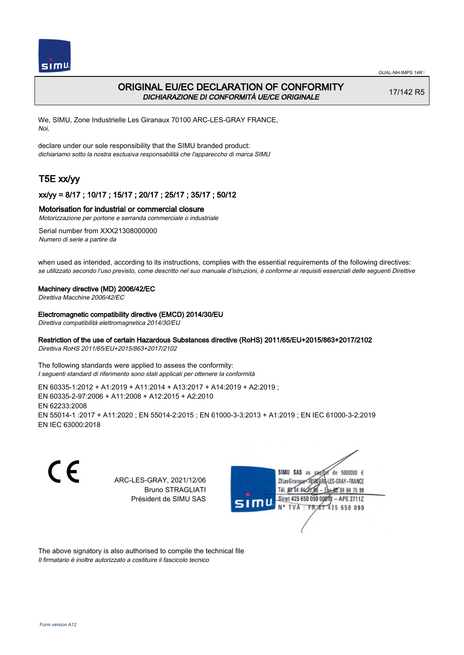

# ORIGINAL EU/EC DECLARATION OF CONFORMITY DICHIARAZIONE DI CONFORMITÀ UE/CE ORIGINALE

17/142 R5

We, SIMU, Zone Industrielle Les Giranaux 70100 ARC-LES-GRAY FRANCE, Noi,

declare under our sole responsibility that the SIMU branded product: dichiariamo sotto la nostra esclusiva responsabilità che l'appareccho di marca SIMU

# T5E xx/yy

## xx/yy = 8/17 ; 10/17 ; 15/17 ; 20/17 ; 25/17 ; 35/17 ; 50/12

### Motorisation for industrial or commercial closure

Motorizzazione per portone e serranda commerciale o industriale

Serial number from XXX21308000000 Numero di serie a partire da

when used as intended, according to its instructions, complies with the essential requirements of the following directives: se utilizzato secondo l'uso previsto, come descritto nel suo manuale d'istruzioni, è conforme ai requisiti essenziali delle seguenti Direttive

#### Machinery directive (MD) 2006/42/EC

Direttiva Macchine 2006/42/EC

#### Electromagnetic compatibility directive (EMCD) 2014/30/EU

Direttiva compatibilità elettromagnetica 2014/30/EU

## Restriction of the use of certain Hazardous Substances directive (RoHS) 2011/65/EU+2015/863+2017/2102

Direttiva RoHS 2011/65/EU+2015/863+2017/2102

The following standards were applied to assess the conformity: I seguenti standard di riferimento sono stati applicati per ottenere la conformità

EN 60335‑1:2012 + A1:2019 + A11:2014 + A13:2017 + A14:2019 + A2:2019 ; EN 60335‑2‑97:2006 + A11:2008 + A12:2015 + A2:2010 EN 62233:2008 EN 55014‑1 :2017 + A11:2020 ; EN 55014‑2:2015 ; EN 61000‑3‑3:2013 + A1:2019 ; EN IEC 61000‑3‑2:2019 EN IEC 63000:2018

C E SIMU SAS au  $de$  5000000  $f$ ARC-LES-GRAY, 2021/12/06 71 les Giranaux</r01 LES-GRAY-FRANCE Bruno STRAGLIATI TH DR R4 642 64 75 99 Président de SIMU SAS Siret 425 650 090 0081  $-$  APE 2711Z TVA: FR 425 650 090

The above signatory is also authorised to compile the technical file Il firmatario è inoltre autorizzato a costituire il fascicolo tecnico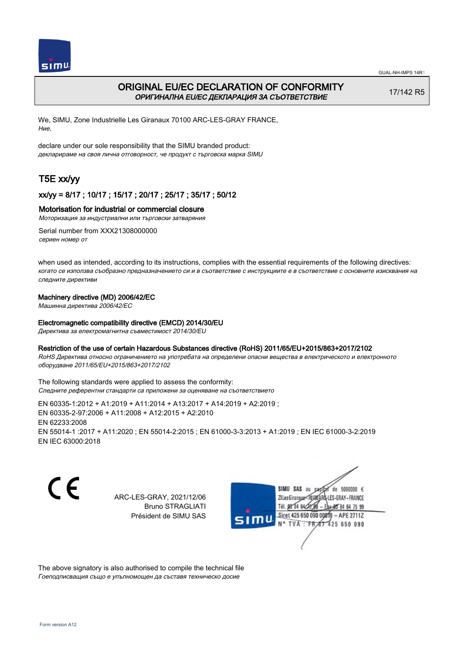

# ORIGINAL EU/EC DECLARATION OF CONFORMITY ОРИГИНАЛНА EU/EC ДЕКЛАРАЦИЯ ЗА СЪОТВЕТСТВИЕ

17/142 R5

We, SIMU, Zone Industrielle Les Giranaux 70100 ARC-LES-GRAY FRANCE, Ние,

declare under our sole responsibility that the SIMU branded product: декларираме на своя лична отговорност, че продукт с търговска марка SIMU

# T5E xx/yy

## xx/yy = 8/17 ; 10/17 ; 15/17 ; 20/17 ; 25/17 ; 35/17 ; 50/12

## Motorisation for industrial or commercial closure

Моторизация за индустриални или търговски затваряния

Serial number from XXX21308000000 сериен номер от

when used as intended, according to its instructions, complies with the essential requirements of the following directives: когато се използва съобразно предназначението си и в съответствие с инструкциите е в съответствие с основните изисквания на следните директиви

## Machinery directive (MD) 2006/42/EC

Машинна директива 2006/42/EC

## Electromagnetic compatibility directive (EMCD) 2014/30/EU

Директива за електромагнитна съвместимост 2014/30/EU

### Restriction of the use of certain Hazardous Substances directive (RoHS) 2011/65/EU+2015/863+2017/2102

RoHS Директива относно ограничението на употребата на определени опасни вещества в електрическото и електронното оборудване 2011/65/EU+2015/863+2017/2102

The following standards were applied to assess the conformity: Следните референтни стандарти са приложени за оценяване на съответствието

EN 60335‑1:2012 + A1:2019 + A11:2014 + A13:2017 + A14:2019 + A2:2019 ; EN 60335‑2‑97:2006 + A11:2008 + A12:2015 + A2:2010 EN 62233:2008 EN 55014‑1 :2017 + A11:2020 ; EN 55014‑2:2015 ; EN 61000‑3‑3:2013 + A1:2019 ; EN IEC 61000‑3‑2:2019 EN IEC 63000:2018

C E

ARC-LES-GRAY, 2021/12/06 Bruno STRAGLIATI Président de SIMU SAS

SIMU SAS au  $cardiz$  de 5000000  $\epsilon$ LES-GRAY-FRANCE ZI Les Giranaux</DJ80AF Tél. 08 84 64 28 85 84 64 75 99 Siret 425 650 090 008TV  $-$  APE 2711Z N° TVA: FRAT 425 650 090

The above signatory is also authorised to compile the technical file Гоеподписващия също е упълномощен да съставя техническо досие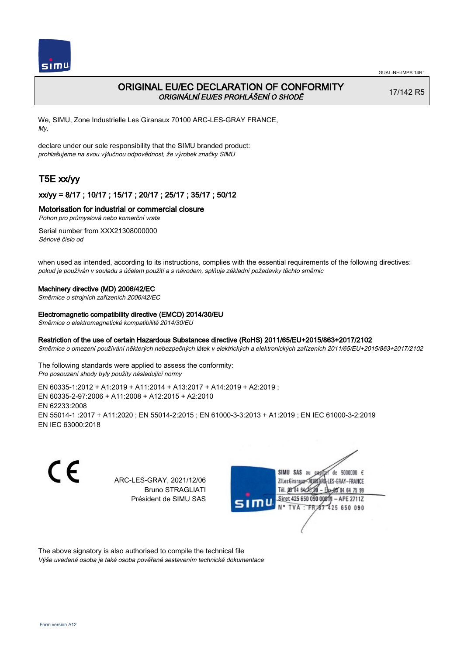

# ORIGINAL EU/EC DECLARATION OF CONFORMITY ORIGINÁLNÍ EU/ES PROHLÁŠENÍ O SHODĚ

17/142 R5

We, SIMU, Zone Industrielle Les Giranaux 70100 ARC-LES-GRAY FRANCE, My,

declare under our sole responsibility that the SIMU branded product: prohlašujeme na svou výlučnou odpovědnost, že výrobek značky SIMU

# T5E xx/yy

## xx/yy = 8/17 ; 10/17 ; 15/17 ; 20/17 ; 25/17 ; 35/17 ; 50/12

### Motorisation for industrial or commercial closure

Pohon pro průmyslová nebo komerční vrata

Serial number from XXX21308000000 Sériové číslo od

when used as intended, according to its instructions, complies with the essential requirements of the following directives: pokud je používán v souladu s účelem použití a s návodem, splňuje základní požadavky těchto směrnic

### Machinery directive (MD) 2006/42/EC

Směrnice o strojních zařízeních 2006/42/EC

#### Electromagnetic compatibility directive (EMCD) 2014/30/EU

Směrnice o elektromagnetické kompatibilitě 2014/30/EU

### Restriction of the use of certain Hazardous Substances directive (RoHS) 2011/65/EU+2015/863+2017/2102

Směrnice o omezení používání některých nebezpečných látek v elektrických a elektronických zařízeních 2011/65/EU+2015/863+2017/2102

The following standards were applied to assess the conformity: Pro posouzení shody byly použity následující normy

EN 60335‑1:2012 + A1:2019 + A11:2014 + A13:2017 + A14:2019 + A2:2019 ; EN 60335‑2‑97:2006 + A11:2008 + A12:2015 + A2:2010 EN 62233:2008 EN 55014‑1 :2017 + A11:2020 ; EN 55014‑2:2015 ; EN 61000‑3‑3:2013 + A1:2019 ; EN IEC 61000‑3‑2:2019 EN IEC 63000:2018

C E

ARC-LES-GRAY, 2021/12/06 Bruno STRAGLIATI Président de SIMU SAS



The above signatory is also authorised to compile the technical file Výše uvedená osoba je také osoba pověřená sestavením technické dokumentace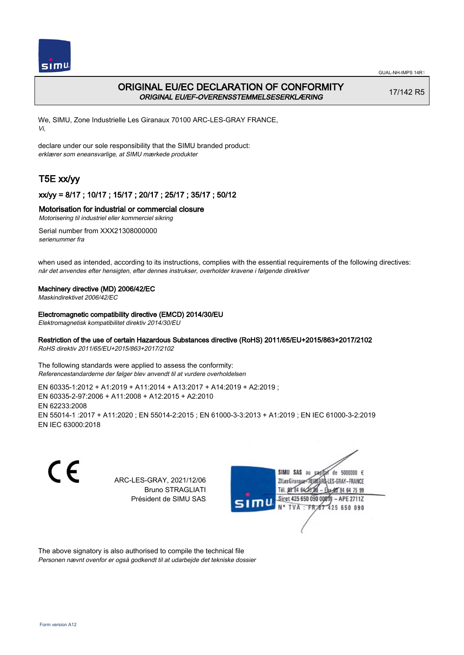

# ORIGINAL EU/EC DECLARATION OF CONFORMITY ORIGINAL EU/EF-OVERENSSTEMMELSESERKLÆRING

17/142 R5

We, SIMU, Zone Industrielle Les Giranaux 70100 ARC-LES-GRAY FRANCE, Vi,

declare under our sole responsibility that the SIMU branded product: erklærer som eneansvarlige, at SIMU mærkede produkter

# T5E xx/yy

## xx/yy = 8/17 ; 10/17 ; 15/17 ; 20/17 ; 25/17 ; 35/17 ; 50/12

## Motorisation for industrial or commercial closure

Motorisering til industriel eller kommerciel sikring

Serial number from XXX21308000000 serienummer fra

when used as intended, according to its instructions, complies with the essential requirements of the following directives: når det anvendes efter hensigten, efter dennes instrukser, overholder kravene i følgende direktiver

### Machinery directive (MD) 2006/42/EC

Maskindirektivet 2006/42/EC

### Electromagnetic compatibility directive (EMCD) 2014/30/EU

Elektromagnetisk kompatibilitet direktiv 2014/30/EU

### Restriction of the use of certain Hazardous Substances directive (RoHS) 2011/65/EU+2015/863+2017/2102

RoHS direktiv 2011/65/EU+2015/863+2017/2102

The following standards were applied to assess the conformity: Referencestandarderne der følger blev anvendt til at vurdere overholdelsen

EN 60335‑1:2012 + A1:2019 + A11:2014 + A13:2017 + A14:2019 + A2:2019 ; EN 60335‑2‑97:2006 + A11:2008 + A12:2015 + A2:2010 EN 62233:2008 EN 55014‑1 :2017 + A11:2020 ; EN 55014‑2:2015 ; EN 61000‑3‑3:2013 + A1:2019 ; EN IEC 61000‑3‑2:2019 EN IEC 63000:2018

C E de 5000000  $\epsilon$ SIMU SAS au ARC-LES-GRAY, 2021/12/06 71 les Giranaux-7018 LES-GRAY-FRANCE Bruno STRAGLIATI Tél. **DR R4 64-25** 64 75 99 Président de SIMU SAS Siret 425 650 090 0081  $-$  APE 2711Z TVA: FR<sub>4</sub>57 425 650 090

The above signatory is also authorised to compile the technical file Personen nævnt ovenfor er også godkendt til at udarbejde det tekniske dossier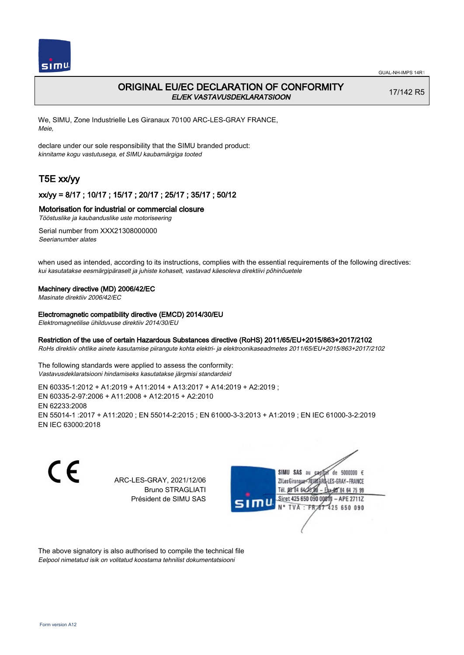

# ORIGINAL EU/EC DECLARATION OF CONFORMITY EL/EK VASTAVUSDEKLARATSIOON

17/142 R5

We, SIMU, Zone Industrielle Les Giranaux 70100 ARC-LES-GRAY FRANCE, Meie,

declare under our sole responsibility that the SIMU branded product: kinnitame kogu vastutusega, et SIMU kaubamärgiga tooted

# T5E xx/yy

## xx/yy = 8/17 ; 10/17 ; 15/17 ; 20/17 ; 25/17 ; 35/17 ; 50/12

### Motorisation for industrial or commercial closure

Tööstuslike ja kaubanduslike uste motoriseering

Serial number from XXX21308000000 Seerianumber alates

when used as intended, according to its instructions, complies with the essential requirements of the following directives: kui kasutatakse eesmärgipäraselt ja juhiste kohaselt, vastavad käesoleva direktiivi põhinõuetele

#### Machinery directive (MD) 2006/42/EC

Masinate direktiiv 2006/42/EC

#### Electromagnetic compatibility directive (EMCD) 2014/30/EU

Elektromagnetilise ühilduvuse direktiiv 2014/30/EU

### Restriction of the use of certain Hazardous Substances directive (RoHS) 2011/65/EU+2015/863+2017/2102

RoHs direktiiv ohtlike ainete kasutamise piirangute kohta elektri- ja elektroonikaseadmetes 2011/65/EU+2015/863+2017/2102

The following standards were applied to assess the conformity: Vastavusdeklaratsiooni hindamiseks kasutatakse järgmisi standardeid

EN 60335‑1:2012 + A1:2019 + A11:2014 + A13:2017 + A14:2019 + A2:2019 ; EN 60335‑2‑97:2006 + A11:2008 + A12:2015 + A2:2010 EN 62233:2008 EN 55014‑1 :2017 + A11:2020 ; EN 55014‑2:2015 ; EN 61000‑3‑3:2013 + A1:2019 ; EN IEC 61000‑3‑2:2019 EN IEC 63000:2018

C E

ARC-LES-GRAY, 2021/12/06 Bruno STRAGLIATI Président de SIMU SAS



The above signatory is also authorised to compile the technical file Eelpool nimetatud isik on volitatud koostama tehnilist dokumentatsiooni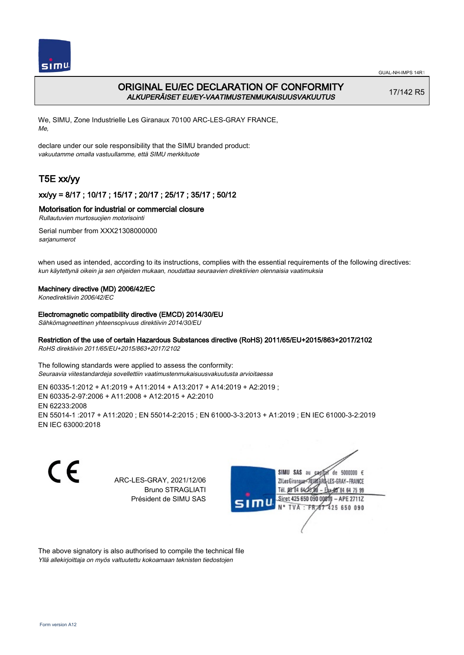

# ORIGINAL EU/EC DECLARATION OF CONFORMITY ALKUPERÄISET EU/EY-VAATIMUSTENMUKAISUUSVAKUUTUS

17/142 R5

We, SIMU, Zone Industrielle Les Giranaux 70100 ARC-LES-GRAY FRANCE, Me,

declare under our sole responsibility that the SIMU branded product: vakuutamme omalla vastuullamme, että SIMU merkkituote

# T5E xx/yy

## xx/yy = 8/17 ; 10/17 ; 15/17 ; 20/17 ; 25/17 ; 35/17 ; 50/12

### Motorisation for industrial or commercial closure

Rullautuvien murtosuojien motorisointi

Serial number from XXX21308000000 sarjanumerot

when used as intended, according to its instructions, complies with the essential requirements of the following directives: kun käytettynä oikein ja sen ohjeiden mukaan, noudattaa seuraavien direktiivien olennaisia vaatimuksia

### Machinery directive (MD) 2006/42/EC

Konedirektiivin 2006/42/EC

### Electromagnetic compatibility directive (EMCD) 2014/30/EU

Sähkömagneettinen yhteensopivuus direktiivin 2014/30/EU

# Restriction of the use of certain Hazardous Substances directive (RoHS) 2011/65/EU+2015/863+2017/2102

RoHS direktiivin 2011/65/EU+2015/863+2017/2102

The following standards were applied to assess the conformity: Seuraavia viitestandardeja sovellettiin vaatimustenmukaisuusvakuutusta arvioitaessa

EN 60335‑1:2012 + A1:2019 + A11:2014 + A13:2017 + A14:2019 + A2:2019 ; EN 60335‑2‑97:2006 + A11:2008 + A12:2015 + A2:2010 EN 62233:2008 EN 55014‑1 :2017 + A11:2020 ; EN 55014‑2:2015 ; EN 61000‑3‑3:2013 + A1:2019 ; EN IEC 61000‑3‑2:2019 EN IEC 63000:2018

C E de 5000000  $\epsilon$ SIMU SAS au ARC-LES-GRAY, 2021/12/06 71 Les Giranaux 1018 LES-GRAY-FRANCE Bruno STRAGLIATI Tél. **DR R4 64/2** 64 75 99 Président de SIMU SAS Siret 425 650 090 0081  $-$  APE 2711Z TVA: FR 425 650 090

The above signatory is also authorised to compile the technical file Yllä allekirjoittaja on myös valtuutettu kokoamaan teknisten tiedostojen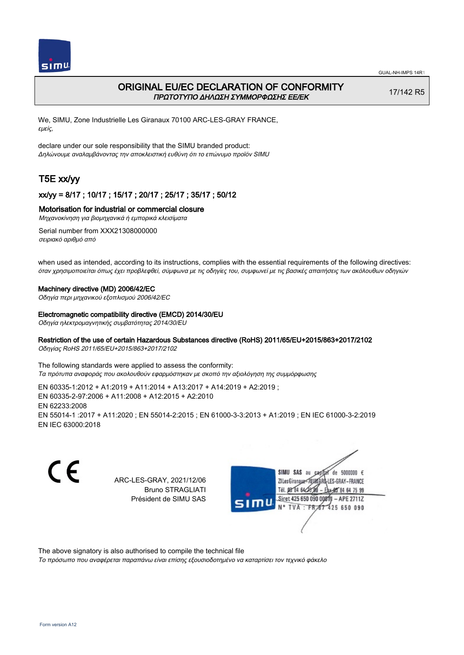

# ORIGINAL EU/EC DECLARATION OF CONFORMITY ΠΡΩΤΟΤΥΠΟ ΔΗΛΩΣΗ ΣΥΜΜΟΡΦΩΣΗΣ ΕΕ/EK

17/142 R5

We, SIMU, Zone Industrielle Les Giranaux 70100 ARC-LES-GRAY FRANCE, εμείς,

declare under our sole responsibility that the SIMU branded product: Δηλώνουμε αναλαμβάνοντας την αποκλειστική ευθύνη ότι το επώνυμο προϊόν SIMU

# T5E xx/yy

## xx/yy = 8/17 ; 10/17 ; 15/17 ; 20/17 ; 25/17 ; 35/17 ; 50/12

### Motorisation for industrial or commercial closure

Μηχανοκίνηση για βιομηχανικά ή εμπορικά κλεισίματα

Serial number from XXX21308000000 σειριακό αριθμό από

when used as intended, according to its instructions, complies with the essential requirements of the following directives: όταν χρησιμοποιείται όπως έχει προβλεφθεί, σύμφωνα με τις οδηγίες του, συμφωνεί με τις βασικές απαιτήσεις των ακόλουθων οδηγιών

#### Machinery directive (MD) 2006/42/EC

Οδηγία περι μηχανικού εξοπλισμού 2006/42/EC

#### Electromagnetic compatibility directive (EMCD) 2014/30/EU

Οδηγία ηλεκτρομαγνητικής συμβατότητας 2014/30/EU

## Restriction of the use of certain Hazardous Substances directive (RoHS) 2011/65/EU+2015/863+2017/2102

Οδηγίας RoHS 2011/65/EU+2015/863+2017/2102

The following standards were applied to assess the conformity: Τα πρότυπα αναφοράς που ακολουθούν εφαρμόστηκαν με σκοπό την αξιολόγηση της συμμόρφωσης

EN 60335‑1:2012 + A1:2019 + A11:2014 + A13:2017 + A14:2019 + A2:2019 ; EN 60335‑2‑97:2006 + A11:2008 + A12:2015 + A2:2010 EN 62233:2008 EN 55014‑1 :2017 + A11:2020 ; EN 55014‑2:2015 ; EN 61000‑3‑3:2013 + A1:2019 ; EN IEC 61000‑3‑2:2019 EN IEC 63000:2018

C E SIMU SAS au ARC-LES-GRAY, 2021/12/06 ZI Les Giranaux</D180 Bruno STRAGLIATI Tél. 08 84 64 28 Président de SIMU SAS TVA: FR



The above signatory is also authorised to compile the technical file

Το πρόσωπο που αναφέρεται παραπάνω είναι επίσης εξουσιοδοτημένο να καταρτίσει τον τεχνικό φάκελο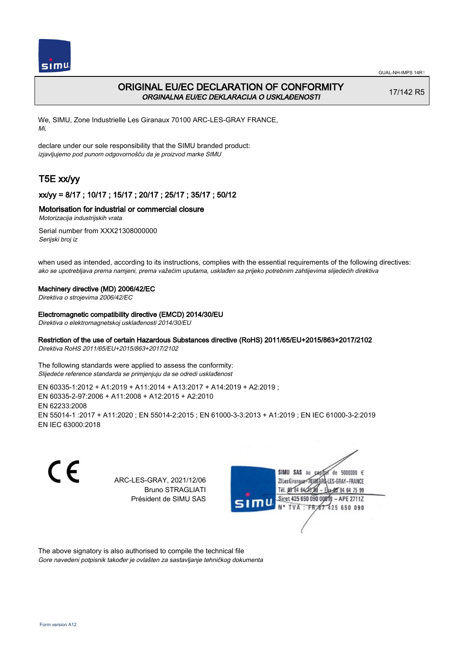

# ORIGINAL EU/EC DECLARATION OF CONFORMITY ORGINALNA EU/EC DEKLARACIJA O USKLAĐENOSTI

17/142 R5

We, SIMU, Zone Industrielle Les Giranaux 70100 ARC-LES-GRAY FRANCE, Mi,

declare under our sole responsibility that the SIMU branded product: izjavljujemo pod punom odgovornošču da je proizvod marke SIMU

# T5E xx/yy

## xx/yy = 8/17 ; 10/17 ; 15/17 ; 20/17 ; 25/17 ; 35/17 ; 50/12

## Motorisation for industrial or commercial closure

Motorizacija industrijskih vrata

Serial number from XXX21308000000 Serijski broj iz

when used as intended, according to its instructions, complies with the essential requirements of the following directives: ako se upotrebljava prema namjeni, prema važećim uputama, usklađen sa prijeko potrebnim zahtijevima slijedećih direktiva

### Machinery directive (MD) 2006/42/EC

Direktiva o strojevima 2006/42/EC

### Electromagnetic compatibility directive (EMCD) 2014/30/EU

Direktiva o elektromagnetskoj usklađenosti 2014/30/EU

# Restriction of the use of certain Hazardous Substances directive (RoHS) 2011/65/EU+2015/863+2017/2102

Direktiva RoHS 2011/65/EU+2015/863+2017/2102

The following standards were applied to assess the conformity: Slijedeće reference standarda se primjenjuju da se odredi usklađenost

EN 60335‑1:2012 + A1:2019 + A11:2014 + A13:2017 + A14:2019 + A2:2019 ; EN 60335‑2‑97:2006 + A11:2008 + A12:2015 + A2:2010 EN 62233:2008 EN 55014‑1 :2017 + A11:2020 ; EN 55014‑2:2015 ; EN 61000‑3‑3:2013 + A1:2019 ; EN IEC 61000‑3‑2:2019 EN IEC 63000:2018

C E de 5000000  $\epsilon$ SIMU SAS au ARC-LES-GRAY, 2021/12/06 71 les Giranaux-7018 LES-GRAY-FRANCE Bruno STRAGLIATI Tél. 08 R4 64 2 64 75 99 Président de SIMU SAS Siret 425 650 090 0081  $-$  APE 2711Z TVA: FR<sub>4</sub>57 425 650 090

The above signatory is also authorised to compile the technical file Gore navedeni potpisnik također je ovlašten za sastavljanje tehničkog dokumenta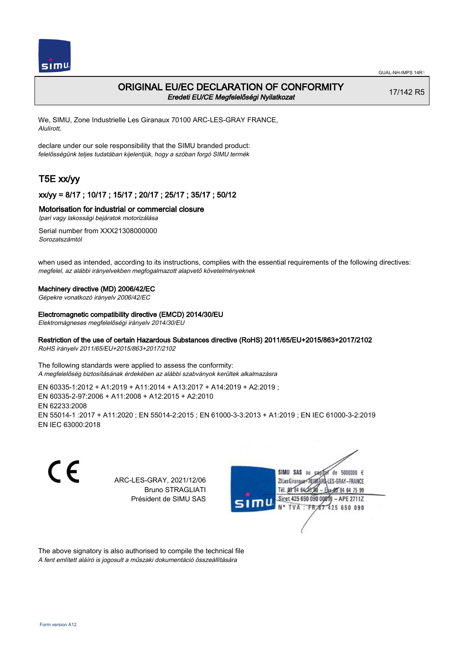

# ORIGINAL EU/EC DECLARATION OF CONFORMITY Eredeti EU/CE Megfelelőségi Nyilatkozat

17/142 R5

We, SIMU, Zone Industrielle Les Giranaux 70100 ARC-LES-GRAY FRANCE, Alulírott,

declare under our sole responsibility that the SIMU branded product: felelősségünk teljes tudatában kijelentjük, hogy a szóban forgó SIMU termék

# T5E xx/yy

## xx/yy = 8/17 ; 10/17 ; 15/17 ; 20/17 ; 25/17 ; 35/17 ; 50/12

### Motorisation for industrial or commercial closure

Ipari vagy lakossági bejáratok motorizálása

Serial number from XXX21308000000 Sorozatszámtól

when used as intended, according to its instructions, complies with the essential requirements of the following directives: megfelel, az alábbi irányelvekben megfogalmazott alapvető követelményeknek

### Machinery directive (MD) 2006/42/EC

Gépekre vonatkozó irányelv 2006/42/EC

#### Electromagnetic compatibility directive (EMCD) 2014/30/EU

Elektromágneses megfelelőségi irányelv 2014/30/EU

### Restriction of the use of certain Hazardous Substances directive (RoHS) 2011/65/EU+2015/863+2017/2102

RoHS irányelv 2011/65/EU+2015/863+2017/2102

The following standards were applied to assess the conformity: A megfelelőség biztosításának érdekében az alábbi szabványok kerültek alkalmazásra

EN 60335‑1:2012 + A1:2019 + A11:2014 + A13:2017 + A14:2019 + A2:2019 ; EN 60335‑2‑97:2006 + A11:2008 + A12:2015 + A2:2010 EN 62233:2008 EN 55014‑1 :2017 + A11:2020 ; EN 55014‑2:2015 ; EN 61000‑3‑3:2013 + A1:2019 ; EN IEC 61000‑3‑2:2019 EN IEC 63000:2018

C E de 5000000  $\epsilon$ SIMU SAS au ARC-LES-GRAY, 2021/12/06 71 les Giranaux-7018 LES-GRAY-FRANCE Bruno STRAGLIATI Tél. **DR R4 64/2** 64 75 99 Président de SIMU SAS Siret 425 650 090 0081  $-$  APE 2711Z TVA: FR 425 650 090

The above signatory is also authorised to compile the technical file A fent említett aláíró is jogosult a műszaki dokumentáció összeállítására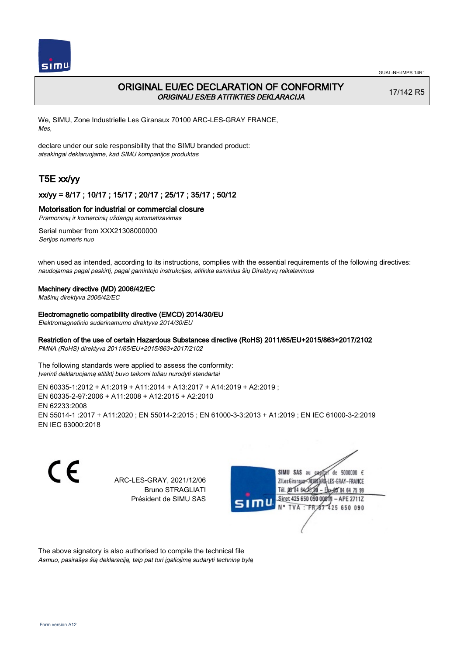

# ORIGINAL EU/EC DECLARATION OF CONFORMITY ORIGINALI ES/EB ATITIKTIES DEKLARACIJA

17/142 R5

We, SIMU, Zone Industrielle Les Giranaux 70100 ARC-LES-GRAY FRANCE, Mes,

declare under our sole responsibility that the SIMU branded product: atsakingai deklaruojame, kad SIMU kompanijos produktas

# T5E xx/yy

## xx/yy = 8/17 ; 10/17 ; 15/17 ; 20/17 ; 25/17 ; 35/17 ; 50/12

## Motorisation for industrial or commercial closure

Pramoninių ir komercinių uždangų automatizavimas

Serial number from XXX21308000000 Serijos numeris nuo

when used as intended, according to its instructions, complies with the essential requirements of the following directives: naudojamas pagal paskirtį, pagal gamintojo instrukcijas, atitinka esminius šių Direktyvų reikalavimus

### Machinery directive (MD) 2006/42/EC

Mašinų direktyva 2006/42/EC

Electromagnetic compatibility directive (EMCD) 2014/30/EU

Elektromagnetinio suderinamumo direktyva 2014/30/EU

## Restriction of the use of certain Hazardous Substances directive (RoHS) 2011/65/EU+2015/863+2017/2102

PMNA (RoHS) direktyva 2011/65/EU+2015/863+2017/2102

The following standards were applied to assess the conformity: Įverinti deklaruojamą atitiktį buvo taikomi toliau nurodyti standartai

EN 60335‑1:2012 + A1:2019 + A11:2014 + A13:2017 + A14:2019 + A2:2019 ; EN 60335‑2‑97:2006 + A11:2008 + A12:2015 + A2:2010 EN 62233:2008 EN 55014‑1 :2017 + A11:2020 ; EN 55014‑2:2015 ; EN 61000‑3‑3:2013 + A1:2019 ; EN IEC 61000‑3‑2:2019 EN IEC 63000:2018

C E ARC-LES-GRAY, 2021/12/06 Bruno STRAGLIATI Président de SIMU SAS



The above signatory is also authorised to compile the technical file Asmuo, pasirašęs šią deklaraciją, taip pat turi įgaliojimą sudaryti techninę bylą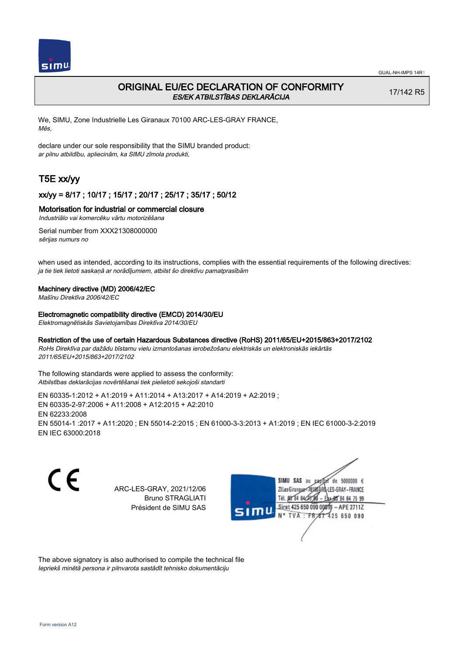

# ORIGINAL EU/EC DECLARATION OF CONFORMITY ES/EK ATBILSTĪBAS DEKLARĀCIJA

17/142 R5

We, SIMU, Zone Industrielle Les Giranaux 70100 ARC-LES-GRAY FRANCE, Mēs,

declare under our sole responsibility that the SIMU branded product: ar pilnu atbildību, apliecinām, ka SIMU zīmola produkti,

# T5E xx/yy

## xx/yy = 8/17 ; 10/17 ; 15/17 ; 20/17 ; 25/17 ; 35/17 ; 50/12

### Motorisation for industrial or commercial closure

Industriālo vai komercēku vārtu motorizēšana

Serial number from XXX21308000000 sērijas numurs no

when used as intended, according to its instructions, complies with the essential requirements of the following directives: ja tie tiek lietoti saskaņā ar norādījumiem, atbilst šo direktīvu pamatprasībām

#### Machinery directive (MD) 2006/42/EC

Mašīnu Direktīva 2006/42/EC

#### Electromagnetic compatibility directive (EMCD) 2014/30/EU

Elektromagnētiskās Savietojamības Direktīva 2014/30/EU

### Restriction of the use of certain Hazardous Substances directive (RoHS) 2011/65/EU+2015/863+2017/2102

RoHs Direktīva par dažādu bīstamu vielu izmantošanas ierobežošanu elektriskās un elektroniskās iekārtās 2011/65/EU+2015/863+2017/2102

The following standards were applied to assess the conformity: Atbilstības deklarācijas novērtēšanai tiek pielietoti sekojoši standarti

EN 60335‑1:2012 + A1:2019 + A11:2014 + A13:2017 + A14:2019 + A2:2019 ; EN 60335‑2‑97:2006 + A11:2008 + A12:2015 + A2:2010 EN 62233:2008 EN 55014‑1 :2017 + A11:2020 ; EN 55014‑2:2015 ; EN 61000‑3‑3:2013 + A1:2019 ; EN IEC 61000‑3‑2:2019 EN IEC 63000:2018

CE

ARC-LES-GRAY, 2021/12/06 Bruno STRAGLIATI Président de SIMU SAS



The above signatory is also authorised to compile the technical file Iepriekš minētā persona ir pilnvarota sastādīt tehnisko dokumentāciju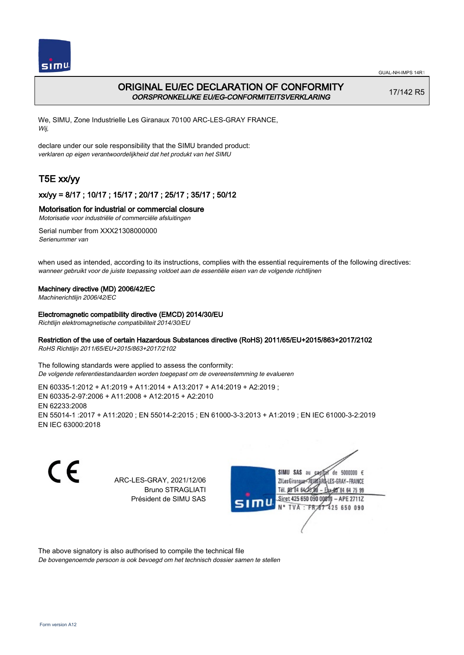

# ORIGINAL EU/EC DECLARATION OF CONFORMITY OORSPRONKELIJKE EU/EG-CONFORMITEITSVERKLARING

17/142 R5

We, SIMU, Zone Industrielle Les Giranaux 70100 ARC-LES-GRAY FRANCE, Wij,

declare under our sole responsibility that the SIMU branded product: verklaren op eigen verantwoordelijkheid dat het produkt van het SIMU

# T5E xx/yy

## xx/yy = 8/17 ; 10/17 ; 15/17 ; 20/17 ; 25/17 ; 35/17 ; 50/12

## Motorisation for industrial or commercial closure

Motorisatie voor industriële of commerciële afsluitingen

Serial number from XXX21308000000 Serienummer van

when used as intended, according to its instructions, complies with the essential requirements of the following directives: wanneer gebruikt voor de juiste toepassing voldoet aan de essentiële eisen van de volgende richtlijnen

### Machinery directive (MD) 2006/42/EC

Machinerichtlijn 2006/42/EC

Electromagnetic compatibility directive (EMCD) 2014/30/EU

Richtlijn elektromagnetische compatibiliteit 2014/30/EU

### Restriction of the use of certain Hazardous Substances directive (RoHS) 2011/65/EU+2015/863+2017/2102

RoHS Richtlijn 2011/65/EU+2015/863+2017/2102

The following standards were applied to assess the conformity: De volgende referentiestandaarden worden toegepast om de overeenstemming te evalueren

EN 60335‑1:2012 + A1:2019 + A11:2014 + A13:2017 + A14:2019 + A2:2019 ; EN 60335‑2‑97:2006 + A11:2008 + A12:2015 + A2:2010 EN 62233:2008 EN 55014‑1 :2017 + A11:2020 ; EN 55014‑2:2015 ; EN 61000‑3‑3:2013 + A1:2019 ; EN IEC 61000‑3‑2:2019 EN IEC 63000:2018

C E ARC-LES-GRAY, 2021/12/06 Bruno STRAGLIATI Président de SIMU SAS



The above signatory is also authorised to compile the technical file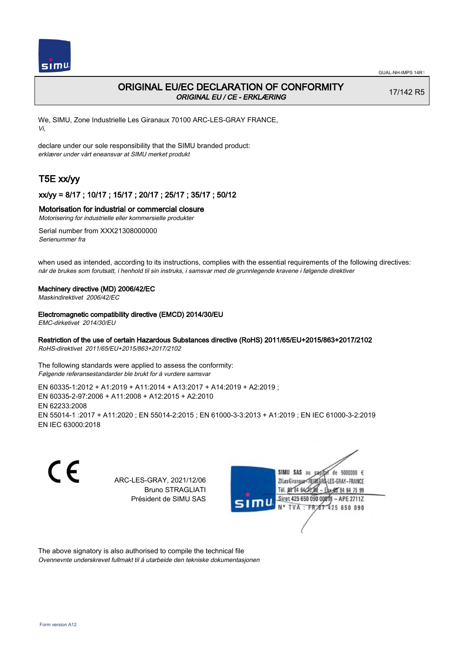

# ORIGINAL EU/EC DECLARATION OF CONFORMITY ORIGINAL EU / CE - ERKLÆRING

17/142 R5

We, SIMU, Zone Industrielle Les Giranaux 70100 ARC-LES-GRAY FRANCE, Vi,

declare under our sole responsibility that the SIMU branded product: erklærer under vårt eneansvar at SIMU merket produkt

# T5E xx/yy

## xx/yy = 8/17 ; 10/17 ; 15/17 ; 20/17 ; 25/17 ; 35/17 ; 50/12

### Motorisation for industrial or commercial closure

Motorisering for industrielle eller kommersielle produkter

Serial number from XXX21308000000 Serienummer fra

when used as intended, according to its instructions, complies with the essential requirements of the following directives: når de brukes som forutsatt, i henhold til sin instruks, i samsvar med de grunnlegende kravene i følgende direktiver

### Machinery directive (MD) 2006/42/EC

Maskindirektivet 2006/42/EC

### Electromagnetic compatibility directive (EMCD) 2014/30/EU

EMC-dirketivet 2014/30/EU

## Restriction of the use of certain Hazardous Substances directive (RoHS) 2011/65/EU+2015/863+2017/2102

RoHS-direktivet 2011/65/EU+2015/863+2017/2102

The following standards were applied to assess the conformity: Følgende referansestandarder ble brukt for å vurdere samsvar

EN 60335‑1:2012 + A1:2019 + A11:2014 + A13:2017 + A14:2019 + A2:2019 ; EN 60335‑2‑97:2006 + A11:2008 + A12:2015 + A2:2010 EN 62233:2008 EN 55014‑1 :2017 + A11:2020 ; EN 55014‑2:2015 ; EN 61000‑3‑3:2013 + A1:2019 ; EN IEC 61000‑3‑2:2019 EN IEC 63000:2018

C E

ARC-LES-GRAY, 2021/12/06 Bruno STRAGLIATI Président de SIMU SAS



The above signatory is also authorised to compile the technical file Ovennevnte underskrevet fullmakt til å utarbeide den tekniske dokumentasjonen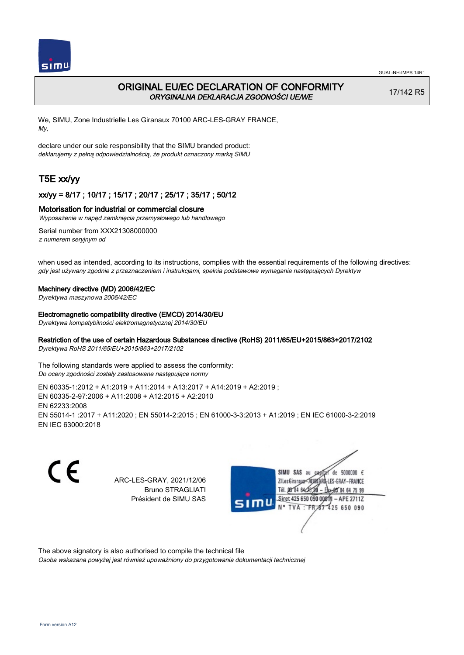

# ORIGINAL EU/EC DECLARATION OF CONFORMITY ORYGINALNA DEKLARACJA ZGODNOŚCI UE/WE

17/142 R5

We, SIMU, Zone Industrielle Les Giranaux 70100 ARC-LES-GRAY FRANCE, My,

declare under our sole responsibility that the SIMU branded product: deklarujemy z pełną odpowiedzialnością, że produkt oznaczony marką SIMU

# T5E xx/yy

## xx/yy = 8/17 ; 10/17 ; 15/17 ; 20/17 ; 25/17 ; 35/17 ; 50/12

### Motorisation for industrial or commercial closure

Wyposażenie w napęd zamknięcia przemysłowego lub handlowego

Serial number from XXX21308000000 z numerem seryjnym od

when used as intended, according to its instructions, complies with the essential requirements of the following directives: gdy jest używany zgodnie z przeznaczeniem i instrukcjami, spełnia podstawowe wymagania następujących Dyrektyw

#### Machinery directive (MD) 2006/42/EC

Dyrektywa maszynowa 2006/42/EC

#### Electromagnetic compatibility directive (EMCD) 2014/30/EU

Dyrektywa kompatybilności elektromagnetycznej 2014/30/EU

## Restriction of the use of certain Hazardous Substances directive (RoHS) 2011/65/EU+2015/863+2017/2102

Dyrektywa RoHS 2011/65/EU+2015/863+2017/2102

The following standards were applied to assess the conformity: Do oceny zgodności zostały zastosowane następujące normy

EN 60335‑1:2012 + A1:2019 + A11:2014 + A13:2017 + A14:2019 + A2:2019 ; EN 60335‑2‑97:2006 + A11:2008 + A12:2015 + A2:2010 EN 62233:2008 EN 55014‑1 :2017 + A11:2020 ; EN 55014‑2:2015 ; EN 61000‑3‑3:2013 + A1:2019 ; EN IEC 61000‑3‑2:2019 EN IEC 63000:2018

C E ARC-LES-GRAY, 2021/12/06 Bruno STRAGLIATI Président de SIMU SAS



The above signatory is also authorised to compile the technical file

Osoba wskazana powyżej jest również upoważniony do przygotowania dokumentacji technicznej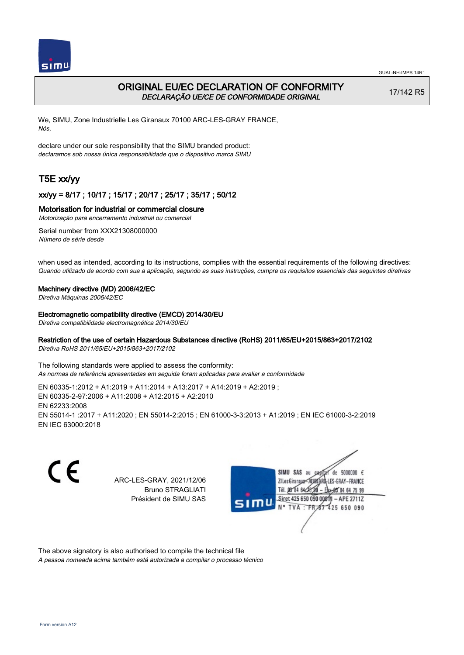

# ORIGINAL EU/EC DECLARATION OF CONFORMITY DECLARAÇÃO UE/CE DE CONFORMIDADE ORIGINAL

17/142 R5

We, SIMU, Zone Industrielle Les Giranaux 70100 ARC-LES-GRAY FRANCE, Nós,

declare under our sole responsibility that the SIMU branded product: declaramos sob nossa única responsabilidade que o dispositivo marca SIMU

# T5E xx/yy

## xx/yy = 8/17 ; 10/17 ; 15/17 ; 20/17 ; 25/17 ; 35/17 ; 50/12

### Motorisation for industrial or commercial closure

Motorização para encerramento industrial ou comercial

Serial number from XXX21308000000 Número de série desde

when used as intended, according to its instructions, complies with the essential requirements of the following directives: Quando utilizado de acordo com sua a aplicação, segundo as suas instruções, cumpre os requisitos essenciais das seguintes diretivas

### Machinery directive (MD) 2006/42/EC

Diretiva Máquinas 2006/42/EC

Electromagnetic compatibility directive (EMCD) 2014/30/EU

Diretiva compatibilidade electromagnética 2014/30/EU

### Restriction of the use of certain Hazardous Substances directive (RoHS) 2011/65/EU+2015/863+2017/2102

Diretiva RoHS 2011/65/EU+2015/863+2017/2102

The following standards were applied to assess the conformity: As normas de referência apresentadas em seguida foram aplicadas para avaliar a conformidade

EN 60335‑1:2012 + A1:2019 + A11:2014 + A13:2017 + A14:2019 + A2:2019 ; EN 60335‑2‑97:2006 + A11:2008 + A12:2015 + A2:2010 EN 62233:2008 EN 55014‑1 :2017 + A11:2020 ; EN 55014‑2:2015 ; EN 61000‑3‑3:2013 + A1:2019 ; EN IEC 61000‑3‑2:2019 EN IEC 63000:2018

C E SIMU SAS au de 5000000  $\epsilon$ ARC-LES-GRAY, 2021/12/06 71 les Giranaux</r01 LES-GRAY-FRANCE Bruno STRAGLIATI Tél. **DR R4 64/2** 64 75 99 Président de SIMU SAS Siret 425 650 090 0081  $-$  APE 2711Z TVA: FR 425 650 090

The above signatory is also authorised to compile the technical file A pessoa nomeada acima também está autorizada a compilar o processo técnico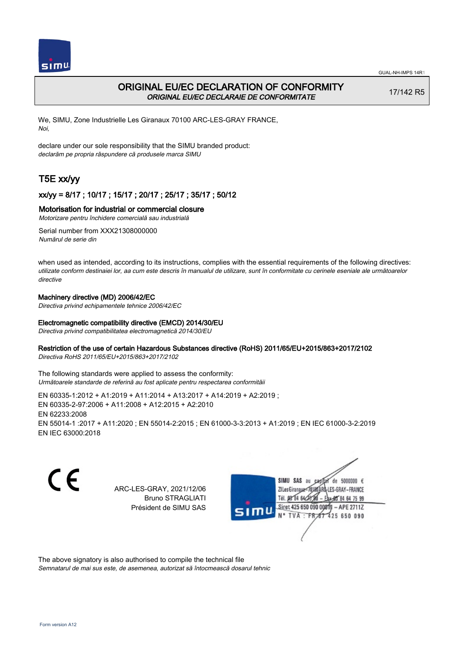

# ORIGINAL EU/EC DECLARATION OF CONFORMITY ORIGINAL EU/EC DECLARAIE DE CONFORMITATE

17/142 R5

We, SIMU, Zone Industrielle Les Giranaux 70100 ARC-LES-GRAY FRANCE, Noi,

declare under our sole responsibility that the SIMU branded product: declarăm pe propria răspundere că produsele marca SIMU

# T5E xx/yy

# xx/yy = 8/17 ; 10/17 ; 15/17 ; 20/17 ; 25/17 ; 35/17 ; 50/12

## Motorisation for industrial or commercial closure

Motorizare pentru închidere comercială sau industrială

Serial number from XXX21308000000 Numărul de serie din

when used as intended, according to its instructions, complies with the essential requirements of the following directives: utilizate conform destinaiei lor, aa cum este descris în manualul de utilizare, sunt în conformitate cu cerinele eseniale ale următoarelor directive

## Machinery directive (MD) 2006/42/EC

Directiva privind echipamentele tehnice 2006/42/EC

### Electromagnetic compatibility directive (EMCD) 2014/30/EU

Directiva privind compatibilitatea electromagnetică 2014/30/EU

### Restriction of the use of certain Hazardous Substances directive (RoHS) 2011/65/EU+2015/863+2017/2102

Directiva RoHS 2011/65/EU+2015/863+2017/2102

The following standards were applied to assess the conformity: Următoarele standarde de referină au fost aplicate pentru respectarea conformităii

EN 60335‑1:2012 + A1:2019 + A11:2014 + A13:2017 + A14:2019 + A2:2019 ; EN 60335‑2‑97:2006 + A11:2008 + A12:2015 + A2:2010 EN 62233:2008 EN 55014‑1 :2017 + A11:2020 ; EN 55014‑2:2015 ; EN 61000‑3‑3:2013 + A1:2019 ; EN IEC 61000‑3‑2:2019 EN IEC 63000:2018

CE

ARC-LES-GRAY, 2021/12/06 Bruno STRAGLIATI Président de SIMU SAS



The above signatory is also authorised to compile the technical file

Semnatarul de mai sus este, de asemenea, autorizat să întocmească dosarul tehnic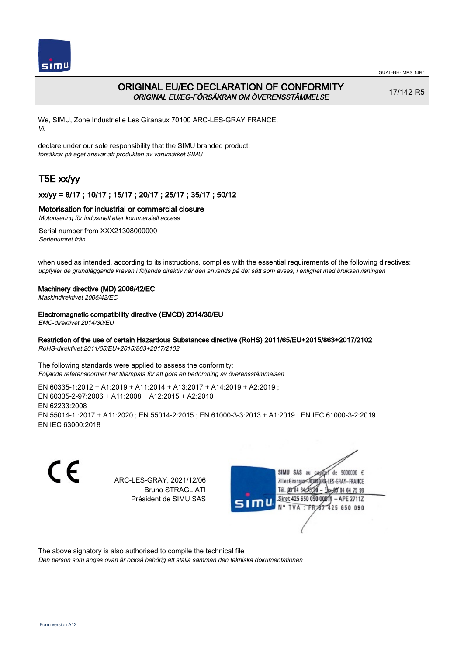

# ORIGINAL EU/EC DECLARATION OF CONFORMITY ORIGINAL EU/EG-FÖRSÄKRAN OM ÖVERENSSTÄMMELSE

17/142 R5

We, SIMU, Zone Industrielle Les Giranaux 70100 ARC-LES-GRAY FRANCE, Vi,

declare under our sole responsibility that the SIMU branded product: försäkrar på eget ansvar att produkten av varumärket SIMU

# T5E xx/yy

## xx/yy = 8/17 ; 10/17 ; 15/17 ; 20/17 ; 25/17 ; 35/17 ; 50/12

## Motorisation for industrial or commercial closure

Motorisering för industriell eller kommersiell access

Serial number from XXX21308000000 Serienumret från

when used as intended, according to its instructions, complies with the essential requirements of the following directives: uppfyller de grundläggande kraven i följande direktiv när den används på det sätt som avses, i enlighet med bruksanvisningen

### Machinery directive (MD) 2006/42/EC

Maskindirektivet 2006/42/EC

### Electromagnetic compatibility directive (EMCD) 2014/30/EU

EMC-direktivet 2014/30/EU

### Restriction of the use of certain Hazardous Substances directive (RoHS) 2011/65/EU+2015/863+2017/2102

RoHS-direktivet 2011/65/EU+2015/863+2017/2102

The following standards were applied to assess the conformity: Följande referensnormer har tillämpats för att göra en bedömning av överensstämmelsen

EN 60335‑1:2012 + A1:2019 + A11:2014 + A13:2017 + A14:2019 + A2:2019 ; EN 60335‑2‑97:2006 + A11:2008 + A12:2015 + A2:2010 EN 62233:2008 EN 55014‑1 :2017 + A11:2020 ; EN 55014‑2:2015 ; EN 61000‑3‑3:2013 + A1:2019 ; EN IEC 61000‑3‑2:2019 EN IEC 63000:2018

C E SIMU SAS au ARC-LES-GRAY, 2021/12/06 71 les Giranaux</nux Bruno STRAGLIATI Tél. 08 R4 64 2 Président de SIMU SAS **TVA FR** 

de 5000000  $\epsilon$ LES-GRAY-FRANCE 64 75 99 Siret 425 650 090 0081  $-$  APE 2711Z 425 650 090

The above signatory is also authorised to compile the technical file

Den person som anges ovan är också behörig att ställa samman den tekniska dokumentationen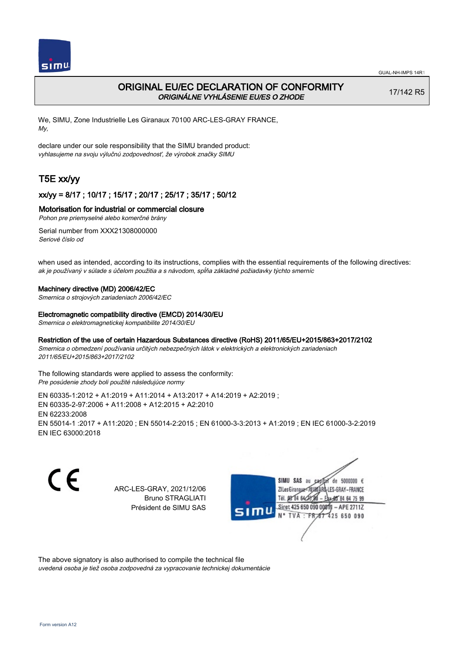

# ORIGINAL EU/EC DECLARATION OF CONFORMITY ORIGINÁLNE VYHLÁSENIE EU/ES O ZHODE

17/142 R5

We, SIMU, Zone Industrielle Les Giranaux 70100 ARC-LES-GRAY FRANCE, My,

declare under our sole responsibility that the SIMU branded product: vyhlasujeme na svoju výlučnú zodpovednosť, že výrobok značky SIMU

# T5E xx/yy

## xx/yy = 8/17 ; 10/17 ; 15/17 ; 20/17 ; 25/17 ; 35/17 ; 50/12

## Motorisation for industrial or commercial closure

Pohon pre priemyselné alebo komerčné brány

Serial number from XXX21308000000 Seriové číslo od

when used as intended, according to its instructions, complies with the essential requirements of the following directives: ak je používaný v súlade s účelom použitia a s návodom, spĺňa základné požiadavky týchto smerníc

### Machinery directive (MD) 2006/42/EC

Smernica o strojových zariadeniach 2006/42/EC

#### Electromagnetic compatibility directive (EMCD) 2014/30/EU

Smernica o elektromagnetickej kompatibilite 2014/30/EU

### Restriction of the use of certain Hazardous Substances directive (RoHS) 2011/65/EU+2015/863+2017/2102

Smernica o obmedzení používania určitých nebezpečných látok v elektrických a elektronických zariadeniach 2011/65/EU+2015/863+2017/2102

The following standards were applied to assess the conformity: Pre posúdenie zhody boli použité následujúce normy

EN 60335‑1:2012 + A1:2019 + A11:2014 + A13:2017 + A14:2019 + A2:2019 ; EN 60335‑2‑97:2006 + A11:2008 + A12:2015 + A2:2010 EN 62233:2008 EN 55014‑1 :2017 + A11:2020 ; EN 55014‑2:2015 ; EN 61000‑3‑3:2013 + A1:2019 ; EN IEC 61000‑3‑2:2019 EN IEC 63000:2018

CE

ARC-LES-GRAY, 2021/12/06 Bruno STRAGLIATI Président de SIMU SAS



The above signatory is also authorised to compile the technical file

uvedená osoba je tiež osoba zodpovedná za vypracovanie technickej dokumentácie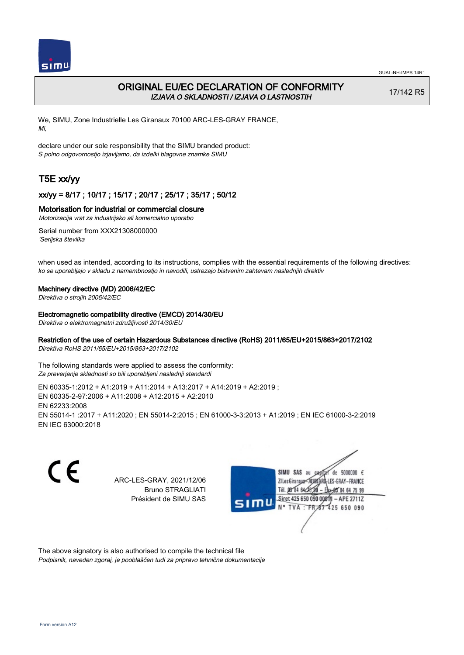

# ORIGINAL EU/EC DECLARATION OF CONFORMITY IZJAVA O SKLADNOSTI / IZJAVA O LASTNOSTIH

17/142 R5

We, SIMU, Zone Industrielle Les Giranaux 70100 ARC-LES-GRAY FRANCE, Mi,

declare under our sole responsibility that the SIMU branded product: S polno odgovornostjo izjavljamo, da izdelki blagovne znamke SIMU

# T5E xx/yy

## xx/yy = 8/17 ; 10/17 ; 15/17 ; 20/17 ; 25/17 ; 35/17 ; 50/12

### Motorisation for industrial or commercial closure

Motorizacija vrat za industrijsko ali komercialno uporabo

Serial number from XXX21308000000 'Serijska številka

when used as intended, according to its instructions, complies with the essential requirements of the following directives: ko se uporabljajo v skladu z namembnostjo in navodili, ustrezajo bistvenim zahtevam naslednjih direktiv

### Machinery directive (MD) 2006/42/EC

Direktiva o strojih 2006/42/EC

#### Electromagnetic compatibility directive (EMCD) 2014/30/EU

Direktiva o elektromagnetni združljivosti 2014/30/EU

## Restriction of the use of certain Hazardous Substances directive (RoHS) 2011/65/EU+2015/863+2017/2102

Direktiva RoHS 2011/65/EU+2015/863+2017/2102

The following standards were applied to assess the conformity: Za preverjanje skladnosti so bili uporabljeni naslednji standardi

EN 60335‑1:2012 + A1:2019 + A11:2014 + A13:2017 + A14:2019 + A2:2019 ; EN 60335‑2‑97:2006 + A11:2008 + A12:2015 + A2:2010 EN 62233:2008 EN 55014‑1 :2017 + A11:2020 ; EN 55014‑2:2015 ; EN 61000‑3‑3:2013 + A1:2019 ; EN IEC 61000‑3‑2:2019 EN IEC 63000:2018

C E de 5000000  $\epsilon$ SIMU SAS au ARC-LES-GRAY, 2021/12/06 71 les Giranaux</nux LES-GRAY-FRANCE Bruno STRAGLIATI Tél. 08 R4 64 2 64 75 99 Président de SIMU SAS Siret 425 650 090 0081  $-$  APE 2711Z TVA: FR<sub>4</sub>57 425 650 090

The above signatory is also authorised to compile the technical file Podpisnik, naveden zgoraj, je pooblaščen tudi za pripravo tehnične dokumentacije